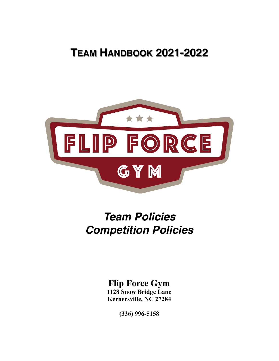# **TEAM HANDBOOK 2021-2022**



# *Team Policies Competition Policies*

## **Flip Force Gym**

**1128 Snow Bridge Lane Kernersville, NC 27284**

**(336) 996-5158**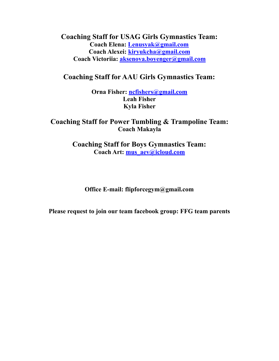**Coaching Staff for USAG Girls Gymnastics Team: Coach Elena: [Lenusyak@gmail.com](mailto:Lenusyak@gmail.com) Coach Alexei: [kiryukcha@gmail.com](mailto:kiryukcha@gmail.com) Coach Victoriia: [aksenova.boyenger@gmail.com](mailto:aksenova.boyenger@gmail.com)**

### **Coaching Staff for AAU Girls Gymnastics Team:**

**Orna Fisher: [ncfishers@gmail.com](mailto:ncfishers@gmail.com) Leah Fisher Kyla Fisher**

#### **Coaching Staff for Power Tumbling & Trampoline Team: Coach Makayla**

**Coaching Staff for Boys Gymnastics Team: Coach Art: [mus\\_aev@icloud.com](mailto:mus_aev@icloud.com)**

**Office E-mail: [flipforcegym@gmail.com](mailto:flipforcegymanstics@gmail.com)** 

**Please request to join our team facebook group: FFG team parents**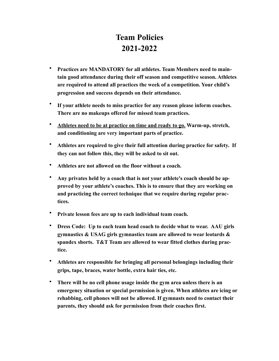## **Team Policies 2021-2022**

- **Practices are MANDATORY for all athletes. Team Members need to maintain good attendance during their off season and competitive season. Athletes are required to attend all practices the week of a competition. Your child's progression and success depends on their attendance.**
- **If your athlete needs to miss practice for any reason please inform coaches. There are no makeups offered for missed team practices.**
- **Athletes need to be at practice on time and ready to go. Warm-up, stretch, and conditioning are very important parts of practice.**
- **Athletes are required to give their full attention during practice for safety. If they can not follow this, they will be asked to sit out.**
- **Athletes are not allowed on the floor without a coach.**
- **Any privates held by a coach that is not your athlete's coach should be approved by your athlete's coaches. This is to ensure that they are working on and practicing the correct technique that we require during regular practices.**
- **Private lesson fees are up to each individual team coach.**
- **Dress Code: Up to each team head coach to decide what to wear. AAU girls gymnastics & USAG girls gymnastics team are allowed to wear leotards & spandex shorts. T&T Team are allowed to wear fitted clothes during practice.**
- **Athletes are responsible for bringing all personal belongings including their grips, tape, braces, water bottle, extra hair ties, etc.**
- **There will be no cell phone usage inside the gym area unless there is an emergency situation or special permission is given. When athletes are icing or rehabbing, cell phones will not be allowed. If gymnasts need to contact their parents, they should ask for permission from their coaches first.**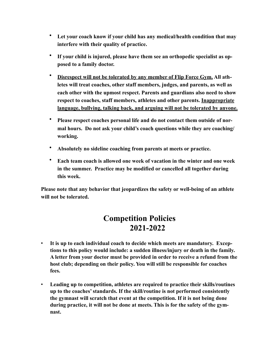- **Let your coach know if your child has any medical/health condition that may interfere with their quality of practice.**
- **If your child is injured, please have them see an orthopedic specialist as opposed to a family doctor.**
- **Disrespect will not be tolerated by any member of Flip Force Gym. All athletes will treat coaches, other staff members, judges, and parents, as well as each other with the upmost respect. Parents and guardians also need to show respect to coaches, staff members, athletes and other parents. Inappropriate language, bullying, talking back, and arguing will not be tolerated by anyone.**
- **Please respect coaches personal life and do not contact them outside of normal hours. Do not ask your child's coach questions while they are coaching/ working.**
- **Absolutely no sideline coaching from parents at meets or practice.**
- **Each team coach is allowed one week of vacation in the winter and one week in the summer. Practice may be modified or cancelled all together during this week.**

**Please note that any behavior that jeopardizes the safety or well-being of an athlete will not be tolerated.** 

### **Competition Policies 2021-2022**

- ! **It is up to each individual coach to decide which meets are mandatory. Exceptions to this policy would include: a sudden illness/injury or death in the family. A letter from your doctor must be provided in order to receive a refund from the host club; depending on their policy. You will still be responsible for coaches fees.**
- ! **Leading up to competition, athletes are required to practice their skills/routines up to the coaches' standards. If the skill/routine is not performed consistently the gymnast will scratch that event at the competition. If it is not being done during practice, it will not be done at meets. This is for the safety of the gymnast.**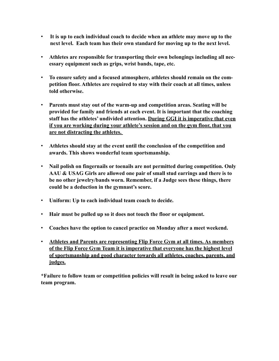- ! **It is up to each individual coach to decide when an athlete may move up to the next level. Each team has their own standard for moving up to the next level.**
- ! **Athletes are responsible for transporting their own belongings including all necessary equipment such as grips, wrist bands, tape, etc.**
- ! **To ensure safety and a focused atmosphere, athletes should remain on the competition floor. Athletes are required to stay with their coach at all times, unless told otherwise.**
- ! **Parents must stay out of the warm-up and competition areas. Seating will be provided for family and friends at each event. It is important that the coaching staff has the athletes' undivided attention. During GGI it is imperative that even if you are working during your athlete's session and on the gym floor, that you are not distracting the athletes.**
- ! **Athletes should stay at the event until the conclusion of the competition and awards. This shows wonderful team sportsmanship.**
- ! **Nail polish on fingernails or toenails are not permitted during competition. Only AAU & USAG Girls are allowed one pair of small stud earrings and there is to be no other jewelry/bands worn. Remember, if a Judge sees these things, there could be a deduction in the gymnast's score.**
- ! **Uniform: Up to each individual team coach to decide.**
- ! **Hair must be pulled up so it does not touch the floor or equipment.**
- ! **Coaches have the option to cancel practice on Monday after a meet weekend.**
- ! **Athletes and Parents are representing Flip Force Gym at all times. As members of the Flip Force Gym Team it is imperative that everyone has the highest level of sportsmanship and good character towards all athletes, coaches, parents, and judges.**

**\*Failure to follow team or competition policies will result in being asked to leave our team program.**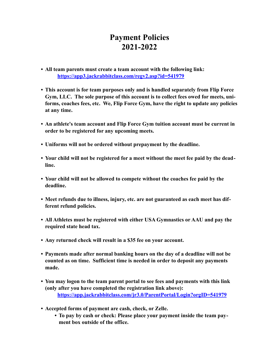### **Payment Policies 2021-2022**

- **• All team parents must create a team account with the following link: <https://app3.jackrabbitclass.com/regv2.asp?id=541979>**
- **• This account is for team purposes only and is handled separately from Flip Force Gym, LLC. The sole purpose of this account is to collect fees owed for meets, uniforms, coaches fees, etc. We, Flip Force Gym, have the right to update any policies at any time.**
- **• An athlete's team account and Flip Force Gym tuition account must be current in order to be registered for any upcoming meets.**
- **• Uniforms will not be ordered without prepayment by the deadline.**
- **• Your child will not be registered for a meet without the meet fee paid by the deadline.**
- **• Your child will not be allowed to compete without the coaches fee paid by the deadline.**
- **• Meet refunds due to illness, injury, etc. are not guaranteed as each meet has different refund policies.**
- **• All Athletes must be registered with either USA Gymnastics or AAU and pay the required state head tax.**
- **• Any returned check will result in a \$35 fee on your account.**
- **• Payments made after normal banking hours on the day of a deadline will not be counted as on time. Sufficient time is needed in order to deposit any payments made.**
- **• You may logon to the team parent portal to see fees and payments with this link (only after you have completed the registration link above): <https://app.jackrabbitclass.com/jr3.0/ParentPortal/Login?orgID=541979>**
- **• Accepted forms of payment are cash, check, or Zelle.** 
	- **• To pay by cash or check: Please place your payment inside the team payment box outside of the office.**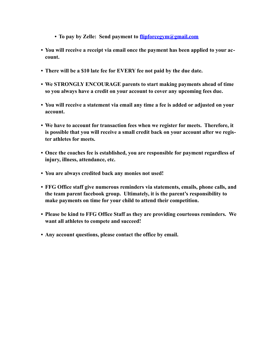- **• To pay by Zelle: Send payment to [flipforcegym@gmail.com](mailto:flipforcegym@gmail.com)**
- **• You will receive a receipt via email once the payment has been applied to your account.**
- **• There will be a \$10 late fee for EVERY fee not paid by the due date.**
- **• We STRONGLY ENCOURAGE parents to start making payments ahead of time so you always have a credit on your account to cover any upcoming fees due.**
- **• You will receive a statement via email any time a fee is added or adjusted on your account.**
- **• We have to account for transaction fees when we register for meets. Therefore, it is possible that you will receive a small credit back on your account after we register athletes for meets.**
- **• Once the coaches fee is established, you are responsible for payment regardless of injury, illness, attendance, etc.**
- **• You are always credited back any monies not used!**
- **• FFG Office staff give numerous reminders via statements, emails, phone calls, and the team parent facebook group. Ultimately, it is the parent's responsibility to make payments on time for your child to attend their competition.**
- **• Please be kind to FFG Office Staff as they are providing courteous reminders. We want all athletes to compete and succeed!**
- **• Any account questions, please contact the office by email.**